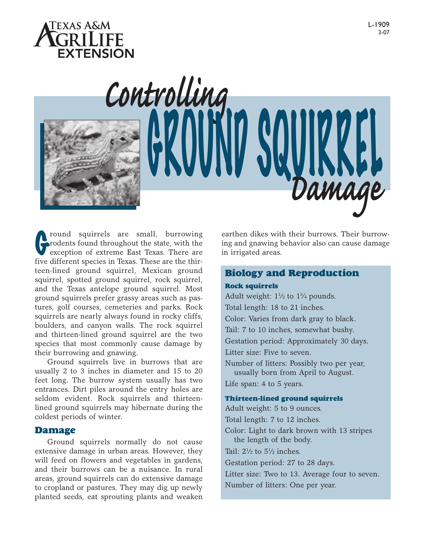



From Squirrels are small, burrowing<br>rodents found throughout the state, with the<br>exception of extreme East Texas. There are<br>fired if from the position in Texas. These are the thin rodents found throughout the state, with the exception of extreme East Texas. There are five different species in Texas. These are the thirteen-lined ground squirrel, Mexican ground squirrel, spotted ground squirrel, rock squirrel, and the Texas antelope ground squirrel. Most ground squirrels prefer grassy areas such as pastures, golf courses, cemeteries and parks. Rock squirrels are nearly always found in rocky cliffs, boulders, and canyon walls. The rock squirrel and thirteen-lined ground squirrel are the two species that most commonly cause damage by their burrowing and gnawing.

Ground squirrels live in burrows that are usually 2 to 3 inches in diameter and 15 to 20 feet long. The burrow system usually has two entrances. Dirt piles around the entry holes are seldom evident. Rock squirrels and thirteenlined ground squirrels may hibernate during the coldest periods of winter.

## Damage

Ground squirrels normally do not cause extensive damage in urban areas. However, they will feed on flowers and vegetables in gardens, and their burrows can be a nuisance. In rural areas, ground squirrels can do extensive damage to cropland or pastures. They may dig up newly planted seeds, eat sprouting plants and weaken

earthen dikes with their burrows. Their burrowing and gnawing behavior also can cause damage in irrigated areas.

*Damage*

# Biology and Reproduction

# Rock squirrels

VNVVIVV OKYINNEL

Adult weight:  $1\frac{1}{2}$  to  $1\frac{3}{4}$  pounds. Total length: 18 to 21 inches. Color: Varies from dark gray to black. Tail: 7 to 10 inches, somewhat bushy. Gestation period: Approximately 30 days. Litter size: Five to seven. Number of litters: Possibly two per year, usually born from April to August. Life span: 4 to 5 years. Thirteen-lined ground squirrels Adult weight: 5 to 9 ounces.

Total length: 7 to 12 inches.

Color: Light to dark brown with 13 stripes the length of the body.

Tail:  $2\frac{1}{2}$  to  $5\frac{1}{2}$  inches.

Gestation period: 27 to 28 days.

Litter size: Two to 13. Average four to seven.

Number of litters: One per year.